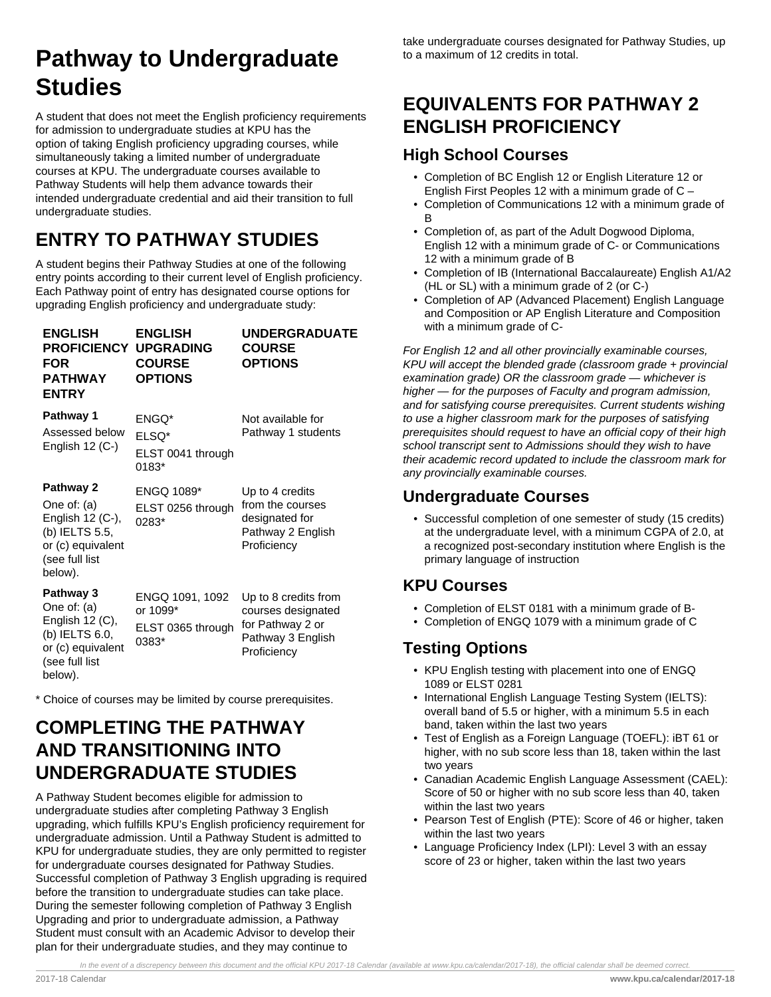# **Pathway to Undergraduate Studies**

A student that does not meet the English proficiency requirements for admission to undergraduate studies at KPU has the option of taking English proficiency upgrading courses, while simultaneously taking a limited number of undergraduate courses at KPU. The undergraduate courses available to Pathway Students will help them advance towards their intended undergraduate credential and aid their transition to full undergraduate studies.

## **ENTRY TO PATHWAY STUDIES**

A student begins their Pathway Studies at one of the following entry points according to their current level of English proficiency. Each Pathway point of entry has designated course options for upgrading English proficiency and undergraduate study:

| <b>ENGLISH</b><br><b>PROFICIENCY</b><br><b>FOR</b><br>PATHWAY<br><b>ENTRY</b>                                      | <b>ENGLISH</b><br><b>UPGRADING</b><br><b>COURSE</b><br><b>OPTIONS</b> | <b>UNDERGRADUATE</b><br><b>COURSE</b><br><b>OPTIONS</b>                                            |
|--------------------------------------------------------------------------------------------------------------------|-----------------------------------------------------------------------|----------------------------------------------------------------------------------------------------|
| Pathway 1<br>Assessed below                                                                                        | ENGQ*<br>ELSQ*                                                        | Not available for<br>Pathway 1 students                                                            |
| English $12$ (C-)                                                                                                  | ELST 0041 through<br>0183*                                            |                                                                                                    |
| Pathway 2<br>One of: $(a)$<br>English 12 (C-),<br>(b) IELTS 5.5,<br>or (c) equivalent<br>(see full list<br>below). | <b>ENGQ 1089*</b><br>ELST 0256 through<br>0283*                       | Up to 4 credits<br>from the courses<br>designated for<br>Pathway 2 English<br>Proficiency          |
| Pathway 3<br>One of: (a)<br>English 12 (C),<br>(b) IELTS 6.0,<br>or (c) equivalent<br>(see full list<br>helow).    | ENGQ 1091, 1092<br>or 1099*<br>ELST 0365 through<br>0383*             | Up to 8 credits from<br>courses designated<br>for Pathway 2 or<br>Pathway 3 English<br>Proficiency |

\* Choice of courses may be limited by course prerequisites.

## **COMPLETING THE PATHWAY AND TRANSITIONING INTO UNDERGRADUATE STUDIES**

A Pathway Student becomes eligible for admission to undergraduate studies after completing Pathway 3 English upgrading, which fulfills KPU's English proficiency requirement for undergraduate admission. Until a Pathway Student is admitted to KPU for undergraduate studies, they are only permitted to register for undergraduate courses designated for Pathway Studies. Successful completion of Pathway 3 English upgrading is required before the transition to undergraduate studies can take place. During the semester following completion of Pathway 3 English Upgrading and prior to undergraduate admission, a Pathway Student must consult with an Academic Advisor to develop their plan for their undergraduate studies, and they may continue to

## **EQUIVALENTS FOR PATHWAY 2 ENGLISH PROFICIENCY**

#### **High School Courses**

- Completion of BC English 12 or English Literature 12 or English First Peoples 12 with a minimum grade of C –
- Completion of Communications 12 with a minimum grade of B
- Completion of, as part of the Adult Dogwood Diploma, English 12 with a minimum grade of C- or Communications 12 with a minimum grade of B
- Completion of IB (International Baccalaureate) English A1/A2 (HL or SL) with a minimum grade of 2 (or C-)
- Completion of AP (Advanced Placement) English Language and Composition or AP English Literature and Composition with a minimum grade of C-

For English 12 and all other provincially examinable courses, KPU will accept the blended grade (classroom grade + provincial examination grade) OR the classroom grade — whichever is higher — for the purposes of Faculty and program admission, and for satisfying course prerequisites. Current students wishing to use a higher classroom mark for the purposes of satisfying prerequisites should request to have an official copy of their high school transcript sent to Admissions should they wish to have their academic record updated to include the classroom mark for any provincially examinable courses.

#### **Undergraduate Courses**

• Successful completion of one semester of study (15 credits) at the undergraduate level, with a minimum CGPA of 2.0, at a recognized post-secondary institution where English is the primary language of instruction

### **KPU Courses**

- Completion of ELST 0181 with a minimum grade of B-
- Completion of ENGQ 1079 with a minimum grade of C

## **Testing Options**

- KPU English testing with placement into one of ENGQ 1089 or ELST 0281
- International English Language Testing System (IELTS): overall band of 5.5 or higher, with a minimum 5.5 in each band, taken within the last two years
- Test of English as a Foreign Language (TOEFL): iBT 61 or higher, with no sub score less than 18, taken within the last two years
- Canadian Academic English Language Assessment (CAEL): Score of 50 or higher with no sub score less than 40, taken within the last two years
- Pearson Test of English (PTE): Score of 46 or higher, taken within the last two years
- Language Proficiency Index (LPI): Level 3 with an essay score of 23 or higher, taken within the last two years

In the event of a discrepency between this document and the official KPU 2017-18 Calendar (available at www.kpu.ca/calendar/2017-18), the official calendar shall be deemed correct.